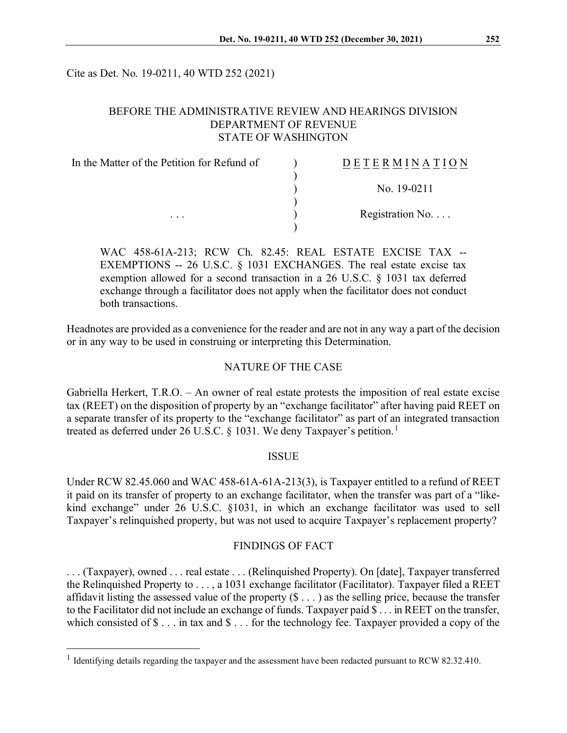Cite as Det. No. 19-0211, 40 WTD 252 (2021)

### BEFORE THE ADMINISTRATIVE REVIEW AND HEARINGS DIVISION DEPARTMENT OF REVENUE STATE OF WASHINGTON

| In the Matter of the Petition for Refund of<br>$\cdots$ | <b>DETERMINATION</b>     |
|---------------------------------------------------------|--------------------------|
|                                                         | No. 19-0211              |
|                                                         | Registration No. $\dots$ |
|                                                         |                          |

WAC 458-61A-213; RCW Ch. 82.45: REAL ESTATE EXCISE TAX -- EXEMPTIONS -- 26 U.S.C. § 1031 EXCHANGES. The real estate excise tax exemption allowed for a second transaction in a 26 U.S.C. § 1031 tax deferred exchange through a facilitator does not apply when the facilitator does not conduct both transactions.

Headnotes are provided as a convenience for the reader and are not in any way a part of the decision or in any way to be used in construing or interpreting this Determination.

### NATURE OF THE CASE

Gabriella Herkert, T.R.O. – An owner of real estate protests the imposition of real estate excise tax (REET) on the disposition of property by an "exchange facilitator" after having paid REET on a separate transfer of its property to the "exchange facilitator" as part of an integrated transaction treated as deferred under 26 U.S.C. § [1](#page-0-0)031. We deny Taxpayer's petition.<sup>1</sup>

#### ISSUE

Under RCW 82.45.060 and WAC 458-61A-61A-213(3), is Taxpayer entitled to a refund of REET it paid on its transfer of property to an exchange facilitator, when the transfer was part of a "likekind exchange" under 26 U.S.C. §1031, in which an exchange facilitator was used to sell Taxpayer's relinquished property, but was not used to acquire Taxpayer's replacement property?

#### FINDINGS OF FACT

. . . (Taxpayer), owned . . . real estate . . . (Relinquished Property). On [date], Taxpayer transferred the Relinquished Property to . . . , a 1031 exchange facilitator (Facilitator). Taxpayer filed a REET affidavit listing the assessed value of the property  $(\$ \dots)$  as the selling price, because the transfer to the Facilitator did not include an exchange of funds. Taxpayer paid \$ . . . in REET on the transfer, which consisted of  $\$\dots$  in tax and  $\$\dots$  for the technology fee. Taxpayer provided a copy of the

<span id="page-0-0"></span><sup>&</sup>lt;sup>1</sup> Identifying details regarding the taxpayer and the assessment have been redacted pursuant to RCW 82.32.410.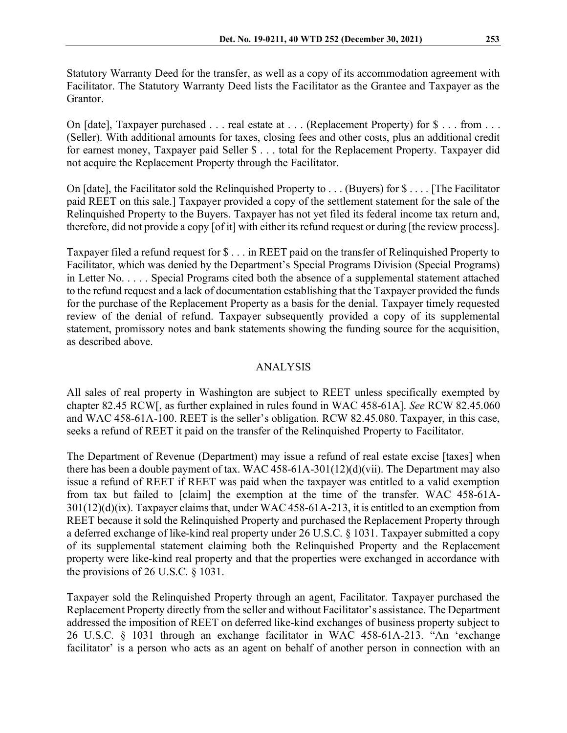Statutory Warranty Deed for the transfer, as well as a copy of its accommodation agreement with Facilitator. The Statutory Warranty Deed lists the Facilitator as the Grantee and Taxpayer as the Grantor.

On [date], Taxpayer purchased . . . real estate at . . . (Replacement Property) for \$ . . . from . . . (Seller). With additional amounts for taxes, closing fees and other costs, plus an additional credit for earnest money, Taxpayer paid Seller \$ . . . total for the Replacement Property. Taxpayer did not acquire the Replacement Property through the Facilitator.

On [date], the Facilitator sold the Relinquished Property to . . . (Buyers) for \$ . . . . [The Facilitator paid REET on this sale.] Taxpayer provided a copy of the settlement statement for the sale of the Relinquished Property to the Buyers. Taxpayer has not yet filed its federal income tax return and, therefore, did not provide a copy [of it] with either its refund request or during [the review process].

Taxpayer filed a refund request for \$ . . . in REET paid on the transfer of Relinquished Property to Facilitator, which was denied by the Department's Special Programs Division (Special Programs) in Letter No. . . . . Special Programs cited both the absence of a supplemental statement attached to the refund request and a lack of documentation establishing that the Taxpayer provided the funds for the purchase of the Replacement Property as a basis for the denial. Taxpayer timely requested review of the denial of refund. Taxpayer subsequently provided a copy of its supplemental statement, promissory notes and bank statements showing the funding source for the acquisition, as described above.

# ANALYSIS

All sales of real property in Washington are subject to REET unless specifically exempted by chapter 82.45 RCW[, as further explained in rules found in WAC 458-61A]. *See* RCW 82.45.060 and WAC 458-61A-100. REET is the seller's obligation. RCW 82.45.080. Taxpayer, in this case, seeks a refund of REET it paid on the transfer of the Relinquished Property to Facilitator.

The Department of Revenue (Department) may issue a refund of real estate excise [taxes] when there has been a double payment of tax. WAC 458-61A-301(12)(d)(vii). The Department may also issue a refund of REET if REET was paid when the taxpayer was entitled to a valid exemption from tax but failed to [claim] the exemption at the time of the transfer. WAC 458-61A-301(12)(d)(ix). Taxpayer claims that, under WAC 458-61A-213, it is entitled to an exemption from REET because it sold the Relinquished Property and purchased the Replacement Property through a deferred exchange of like-kind real property under 26 U.S.C. § 1031. Taxpayer submitted a copy of its supplemental statement claiming both the Relinquished Property and the Replacement property were like-kind real property and that the properties were exchanged in accordance with the provisions of 26 U.S.C. § 1031.

Taxpayer sold the Relinquished Property through an agent, Facilitator. Taxpayer purchased the Replacement Property directly from the seller and without Facilitator's assistance. The Department addressed the imposition of REET on deferred like-kind exchanges of business property subject to 26 U.S.C. § 1031 through an exchange facilitator in WAC 458-61A-213. "An 'exchange facilitator' is a person who acts as an agent on behalf of another person in connection with an